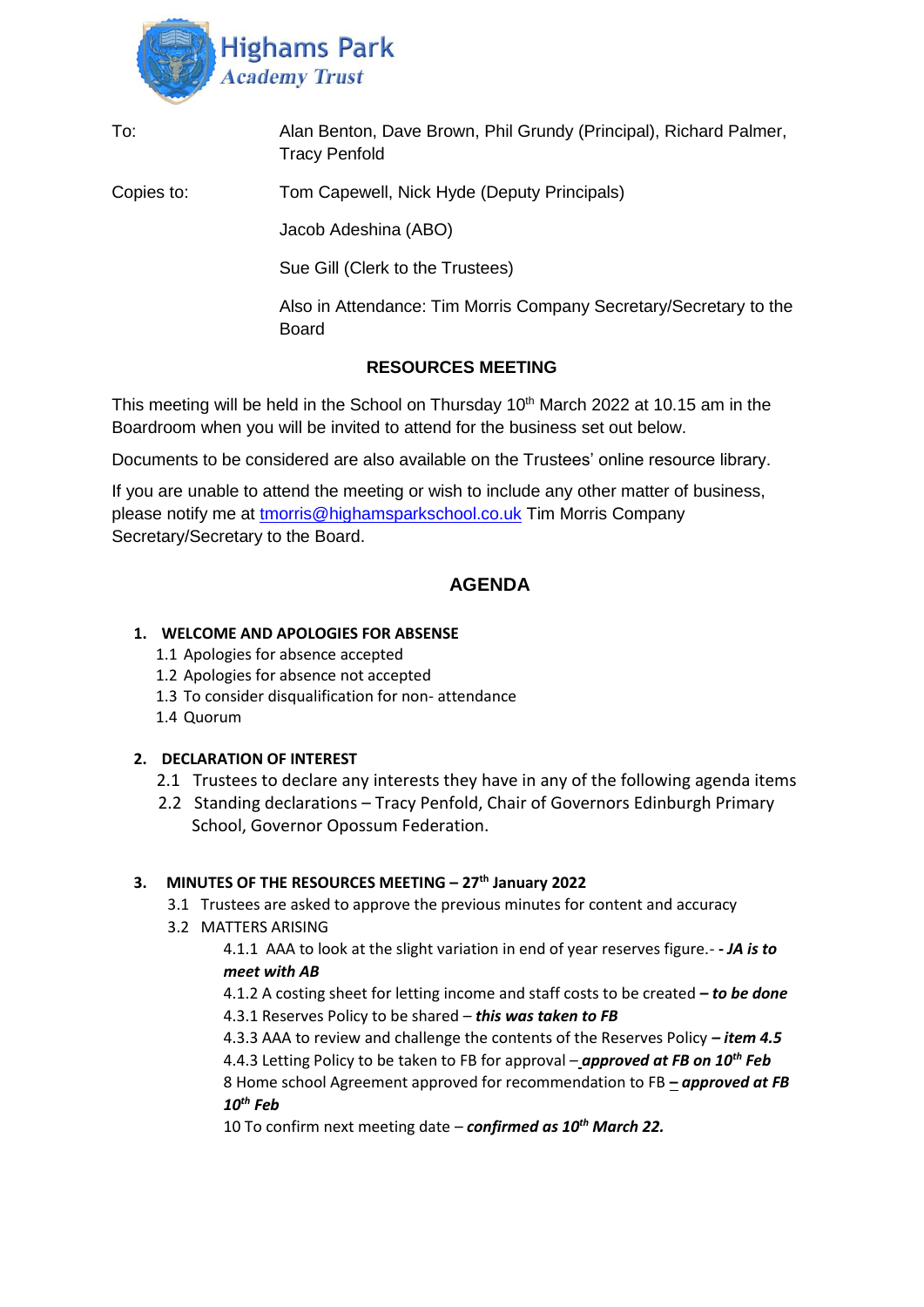

| To:        | Alan Benton, Dave Brown, Phil Grundy (Principal), Richard Palmer,<br><b>Tracy Penfold</b> |
|------------|-------------------------------------------------------------------------------------------|
| Copies to: | Tom Capewell, Nick Hyde (Deputy Principals)                                               |
|            | Jacob Adeshina (ABO)                                                                      |
|            | Sue Gill (Clerk to the Trustees)                                                          |
|            | Also in Attendance: Tim Morris Company Secretary/Secretary to the<br><b>Board</b>         |
|            | <b>RESOURCES MEETING</b>                                                                  |

This meeting will be held in the School on Thursday  $10<sup>th</sup>$  March 2022 at 10.15 am in the Boardroom when you will be invited to attend for the business set out below.

Documents to be considered are also available on the Trustees' online resource library.

If you are unable to attend the meeting or wish to include any other matter of business, please notify me at [tmorris@highamsparkschool.co.uk](mailto:tmorris@highamsparkschool.co.uk) Tim Morris Company Secretary/Secretary to the Board.

# **AGENDA**

#### **1. WELCOME AND APOLOGIES FOR ABSENSE**

- 1.1 Apologies for absence accepted
- 1.2 Apologies for absence not accepted
- 1.3 To consider disqualification for non- attendance
- 1.4 Quorum

# **2. DECLARATION OF INTEREST**

- 2.1 Trustees to declare any interests they have in any of the following agenda items
- 2.2 Standing declarations Tracy Penfold, Chair of Governors Edinburgh Primary School, Governor Opossum Federation.

## **3. MINUTES OF THE RESOURCES MEETING – 27th January 2022**

- 3.1 Trustees are asked to approve the previous minutes for content and accuracy
- 3.2 MATTERS ARISING

4.1.1 AAA to look at the slight variation in end of year reserves figure.- **-** *JA is to meet with AB* 

4.1.2 A costing sheet for letting income and staff costs to be created *– to be done* 4.3.1 Reserves Policy to be shared – *this was taken to FB* 

4.3.3 AAA to review and challenge the contents of the Reserves Policy *– item 4.5* 4.4.3 Letting Policy to be taken to FB for approval – *approved at FB on 10th Feb* 8 Home school Agreement approved for recommendation to FB **–** *approved at FB 10th Feb*

10 To confirm next meeting date – *confirmed as 10th March 22.*